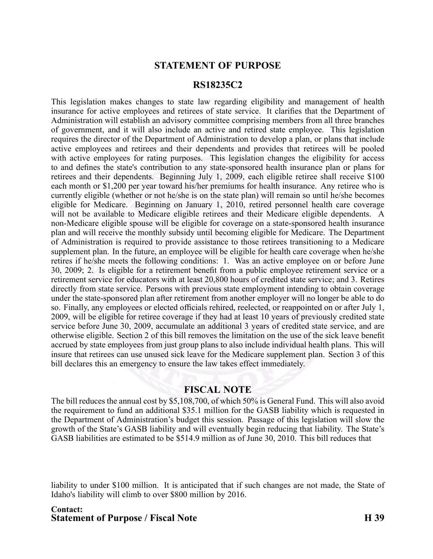## **STATEMENT OF PURPOSE**

## **RS18235C2**

This legislation makes changes to state law regarding eligibility and managemen<sup>t</sup> of health insurance for active employees and retirees of state service. It clarifies that the Department of Administration will establish an advisory committee comprising members from all three branches of government, and it will also include an active and retired state employee. This legislation requires the director of the Department of Administration to develop <sup>a</sup> plan, or plans that include active employees and retirees and their dependents and provides that retirees will be pooled with active employees for rating purposes. This legislation changes the eligibility for access to and defines the state's contribution to any state-sponsored health insurance plan or plans for retirees and their dependents. Beginning July 1, 2009, each eligible retiree shall receive \$100 each month or \$1,200 per year toward his/her premiums for health insurance. Any retiree who is currently eligible (whether or not he/she is on the state plan) will remain so until he/she becomes eligible for Medicare. Beginning on January 1, 2010, retired personnel health care coverage will not be available to Medicare eligible retirees and their Medicare eligible dependents. A non-Medicare eligible spouse will be eligible for coverage on a state-sponsored health insurance plan and will receive the monthly subsidy until becoming eligible for Medicare. The Department of Administration is required to provide assistance to those retirees transitioning to <sup>a</sup> Medicare supplement plan. In the future, an employee will be eligible for health care coverage when he/she retires if he/she meets the following conditions: 1. Was an active employee on or before June 30, 2009; 2. Is eligible for <sup>a</sup> retirement benefit from <sup>a</sup> public employee retirement service or <sup>a</sup> retirement service for educators with at least 20,800 hours of credited state service; and 3. Retires directly from state service. Persons with previous state employment intending to obtain coverage under the state-sponsored plan after retirement from another employer will no longer be able to do so. Finally, any employees or elected officials rehired, reelected, or reappointed on or after July 1, 2009, will be eligible for retiree coverage if they had at least 10 years of previously credited state service before June 30, 2009, accumulate an additional 3 years of credited state service, and are otherwise eligible. Section 2 of this bill removes the limitation on the use of the sick leave benefit accrued by state employees from just group plans to also include individual health plans. This will insure that retirees can use unused sick leave for the Medicare supplement plan. Section 3 of this bill declares this an emergency to ensure the law takes effect immediately.

## **FISCAL NOTE**

The bill reduces the annual cost by \$5,108,700, of which 50% is General Fund. This will also avoid the requirement to fund an additional \$35.1 million for the GASB liability which is requested in the Department of Administration's budget this session. Passage of this legislation will slow the growth of the State's GASB liability and will eventually begin reducing that liability. The State's GASB liabilities are estimated to be \$514.9 million as of June 30, 2010. This bill reduces that

liability to under \$100 million. It is anticipated that if such changes are not made, the State of Idaho's liability will climb to over \$800 million by 2016.